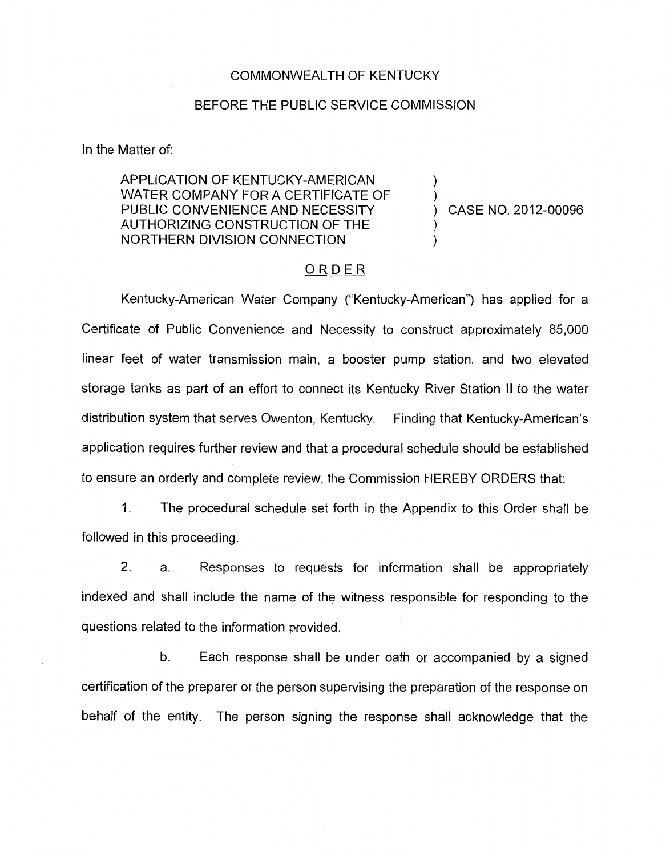#### COMMONWEALTH OF KENTUCKY

#### BEFORE THE PUBLIC SERVICE COMMISSION

In the Matter of:

# APPLICATION OF KENTUCKY-AMERICAN ) WATER COMPANY FOR A CERTIFICATE OF  $\longrightarrow$  ) CASE NO. 2012-00096 AUTHORIZING CONSTRUCTION OF THE ) NORTHERN DIVISION CONNECTION )

### ORDER

Kentucky-American Water Company ("Kentucky-American") has applied for a Certificate of Public Convenience and Necessity to construct approximately 85,000 linear feet of water transmission main, a booster pump station, and two elevated storage tanks as part of an effort to connect its Kentucky River Station II to the water distribution system that serves Owenton, Kentucky. Finding that Kentucky-American's application requires further review and that a procedural schedule should be established to ensure an orderly and complete review, the Commission HEREBY ORDERS that:

1. The procedural schedule set forth in the Appendix to this Order shall be followed in this proceeding.

2. a. Responses to requests for information shall be appropriately indexed and shall include the name of the witness responsible for responding to the questions related to the information provided.

b. Each response shall be under oath or accompanied by a signed certification of the preparer or the person supervising the preparation of the response on behalf of the entity. The person signing the response shall acknowledge that the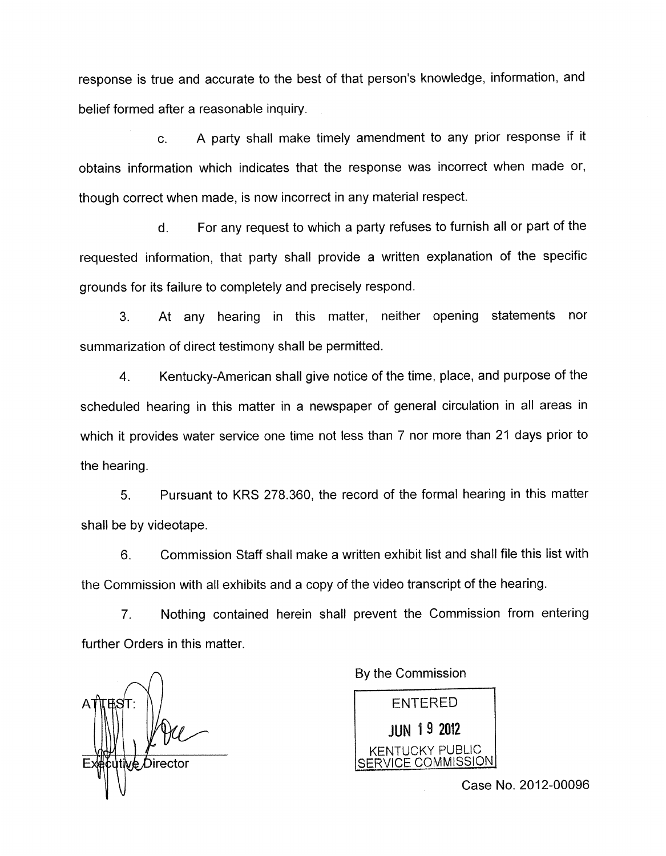response is true and accurate to the best of that person's knowledge, information, and belief formed after a reasonable inquiry.

c. A party shall make timely amendment to any prior response if it obtains information which indicates that the response was incorrect when made or, though correct when made, is now incorrect in any material respect.

d. For any request to which a party refuses to furnish all or part of the requested information, that party shall provide a written explanation of the specific grounds for its failure to completely and precisely respond.

3. At any hearing in this matter, neither opening statements nor summarization of direct testimony shall be permitted.

**4.** Kentucky-American shall give notice of the time, place, and purpose of the scheduled hearing in this matter in a newspaper of general circulation in all areas in which it provides water service one time not less than 7 nor more than 21 days prior to the hearing.

5. Pursuant to KRS 278.360, the record of the formal hearing in this matter shall be by videotape.

6. Commission Staff shall make a written exhibit list and shall file this list with the Commission with all exhibits and a copy of the video transcript of the hearing.

7. Nothing contained herein shall prevent the Commission from entering further Orders in this matter.

Director

By the Commission



Case No. 2012-00096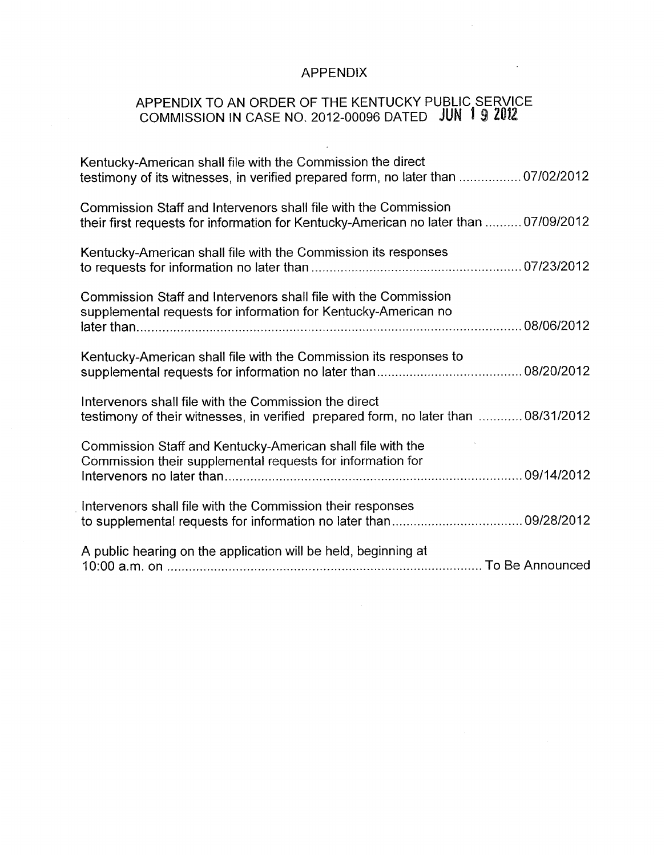# APPENDIX

## APPENDIX TO AN ORDER OF THE KENTUCKY PUBLIC SERVICE  ${\tt COMM}$ ISSION IN CASE NO. 2012-00096 DATED  ${\tt JU}$

 $\sim 10^7$ 

| Kentucky-American shall file with the Commission the direct<br>testimony of its witnesses, in verified prepared form, no later than  07/02/2012         |
|---------------------------------------------------------------------------------------------------------------------------------------------------------|
| Commission Staff and Intervenors shall file with the Commission<br>their first requests for information for Kentucky-American no later than  07/09/2012 |
| Kentucky-American shall file with the Commission its responses                                                                                          |
| Commission Staff and Intervenors shall file with the Commission<br>supplemental requests for information for Kentucky-American no                       |
| Kentucky-American shall file with the Commission its responses to                                                                                       |
| Intervenors shall file with the Commission the direct<br>testimony of their witnesses, in verified prepared form, no later than  08/31/2012             |
| Commission Staff and Kentucky-American shall file with the<br>Commission their supplemental requests for information for                                |
| Intervenors shall file with the Commission their responses                                                                                              |
| A public hearing on the application will be held, beginning at                                                                                          |